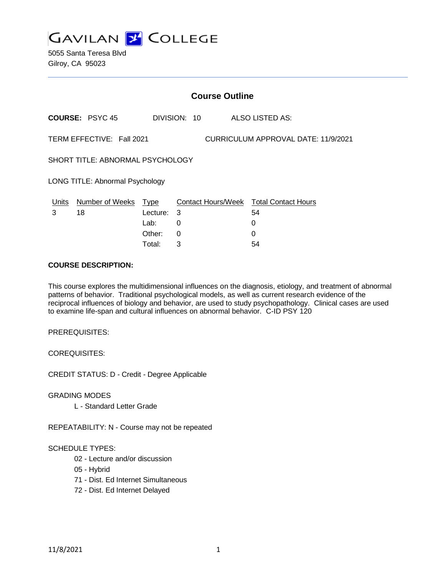

5055 Santa Teresa Blvd Gilroy, CA 95023

| <b>Course Outline</b>                                            |                        |             |              |  |                                               |
|------------------------------------------------------------------|------------------------|-------------|--------------|--|-----------------------------------------------|
|                                                                  | <b>COURSE: PSYC 45</b> |             | DIVISION: 10 |  | <b>ALSO LISTED AS:</b>                        |
| TERM EFFECTIVE: Fall 2021<br>CURRICULUM APPROVAL DATE: 11/9/2021 |                        |             |              |  |                                               |
| SHORT TITLE: ABNORMAL PSYCHOLOGY                                 |                        |             |              |  |                                               |
| LONG TITLE: Abnormal Psychology                                  |                        |             |              |  |                                               |
| Units                                                            | <b>Number of Weeks</b> | <u>Type</u> |              |  | <b>Contact Hours/Week Total Contact Hours</b> |
| 3                                                                | 18                     | Lecture:    | -3           |  | 54                                            |
|                                                                  |                        | Lab:        | 0            |  | 0                                             |
|                                                                  |                        | Other:      | 0            |  | 0                                             |
|                                                                  |                        | Total:      | 3            |  | 54                                            |

#### **COURSE DESCRIPTION:**

This course explores the multidimensional influences on the diagnosis, etiology, and treatment of abnormal patterns of behavior. Traditional psychological models, as well as current research evidence of the reciprocal influences of biology and behavior, are used to study psychopathology. Clinical cases are used to examine life-span and cultural influences on abnormal behavior. C-ID PSY 120

PREREQUISITES:

COREQUISITES:

CREDIT STATUS: D - Credit - Degree Applicable

GRADING MODES

L - Standard Letter Grade

REPEATABILITY: N - Course may not be repeated

#### SCHEDULE TYPES:

- 02 Lecture and/or discussion
- 05 Hybrid
- 71 Dist. Ed Internet Simultaneous
- 72 Dist. Ed Internet Delayed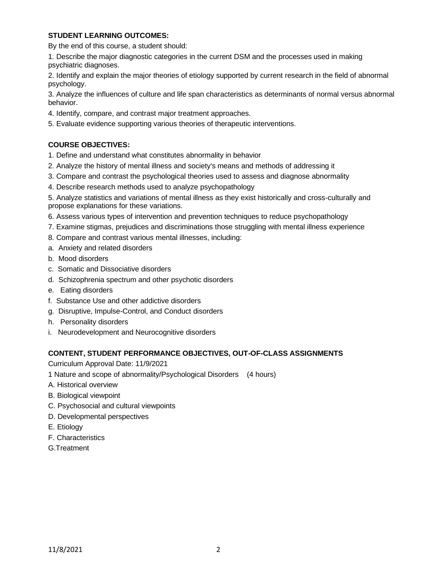### **STUDENT LEARNING OUTCOMES:**

By the end of this course, a student should:

1. Describe the major diagnostic categories in the current DSM and the processes used in making psychiatric diagnoses.

2. Identify and explain the major theories of etiology supported by current research in the field of abnormal psychology.

3. Analyze the influences of culture and life span characteristics as determinants of normal versus abnormal behavior.

- 4. Identify, compare, and contrast major treatment approaches.
- 5. Evaluate evidence supporting various theories of therapeutic interventions.

# **COURSE OBJECTIVES:**

- 1. Define and understand what constitutes abnormality in behavior
- 2. Analyze the history of mental illness and society's means and methods of addressing it
- 3. Compare and contrast the psychological theories used to assess and diagnose abnormality
- 4. Describe research methods used to analyze psychopathology

5. Analyze statistics and variations of mental illness as they exist historically and cross-culturally and propose explanations for these variations.

- 6. Assess various types of intervention and prevention techniques to reduce psychopathology
- 7. Examine stigmas, prejudices and discriminations those struggling with mental illness experience
- 8. Compare and contrast various mental illnesses, including:
- a. Anxiety and related disorders
- b. Mood disorders
- c. Somatic and Dissociative disorders
- d. Schizophrenia spectrum and other psychotic disorders
- e. Eating disorders
- f. Substance Use and other addictive disorders
- g. Disruptive, Impulse-Control, and Conduct disorders
- h. Personality disorders
- i. Neurodevelopment and Neurocognitive disorders

### **CONTENT, STUDENT PERFORMANCE OBJECTIVES, OUT-OF-CLASS ASSIGNMENTS**

Curriculum Approval Date: 11/9/2021

- 1 Nature and scope of abnormality/Psychological Disorders (4 hours)
- A. Historical overview
- B. Biological viewpoint
- C. Psychosocial and cultural viewpoints
- D. Developmental perspectives
- E. Etiology
- F. Characteristics
- G.Treatment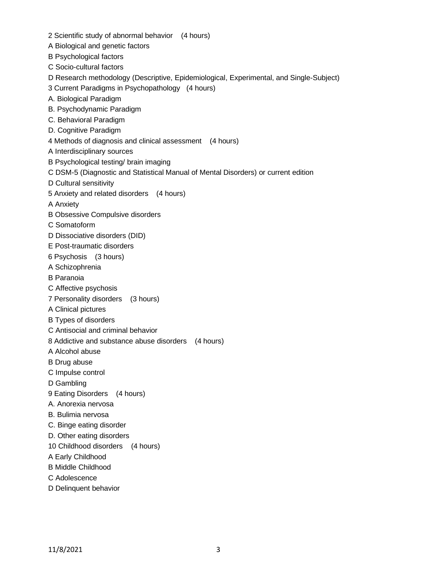- 2 Scientific study of abnormal behavior (4 hours)
- A Biological and genetic factors
- B Psychological factors
- C Socio-cultural factors
- D Research methodology (Descriptive, Epidemiological, Experimental, and Single-Subject)
- 3 Current Paradigms in Psychopathology (4 hours)
- A. Biological Paradigm
- B. Psychodynamic Paradigm
- C. Behavioral Paradigm
- D. Cognitive Paradigm
- 4 Methods of diagnosis and clinical assessment (4 hours)
- A Interdisciplinary sources
- B Psychological testing/ brain imaging
- C DSM-5 (Diagnostic and Statistical Manual of Mental Disorders) or current edition
- D Cultural sensitivity
- 5 Anxiety and related disorders (4 hours)
- A Anxiety
- B Obsessive Compulsive disorders
- C Somatoform
- D Dissociative disorders (DID)
- E Post-traumatic disorders
- 6 Psychosis (3 hours)
- A Schizophrenia
- B Paranoia
- C Affective psychosis
- 7 Personality disorders (3 hours)
- A Clinical pictures
- B Types of disorders
- C Antisocial and criminal behavior
- 8 Addictive and substance abuse disorders (4 hours)
- A Alcohol abuse
- B Drug abuse
- C Impulse control
- D Gambling
- 9 Eating Disorders (4 hours)
- A. Anorexia nervosa
- B. Bulimia nervosa
- C. Binge eating disorder
- D. Other eating disorders
- 10 Childhood disorders (4 hours)
- A Early Childhood
- B Middle Childhood
- C Adolescence
- D Delinquent behavior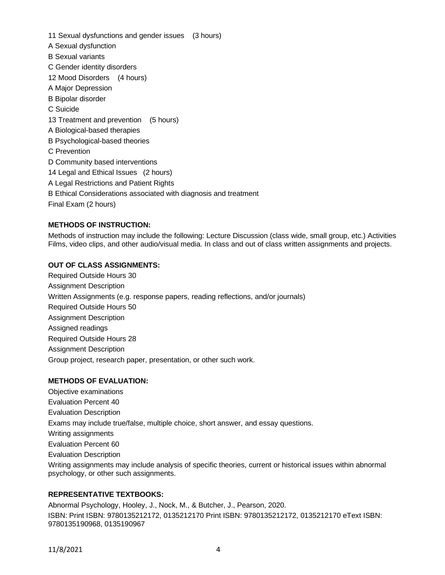11 Sexual dysfunctions and gender issues (3 hours) A Sexual dysfunction B Sexual variants C Gender identity disorders 12 Mood Disorders (4 hours) A Major Depression B Bipolar disorder C Suicide 13 Treatment and prevention (5 hours) A Biological-based therapies B Psychological-based theories C Prevention D Community based interventions 14 Legal and Ethical Issues (2 hours) A Legal Restrictions and Patient Rights B Ethical Considerations associated with diagnosis and treatment Final Exam (2 hours)

# **METHODS OF INSTRUCTION:**

Methods of instruction may include the following: Lecture Discussion (class wide, small group, etc.) Activities Films, video clips, and other audio/visual media. In class and out of class written assignments and projects.

#### **OUT OF CLASS ASSIGNMENTS:**

Required Outside Hours 30 Assignment Description Written Assignments (e.g. response papers, reading reflections, and/or journals) Required Outside Hours 50 Assignment Description Assigned readings Required Outside Hours 28 Assignment Description Group project, research paper, presentation, or other such work.

### **METHODS OF EVALUATION:**

Objective examinations Evaluation Percent 40 Evaluation Description Exams may include true/false, multiple choice, short answer, and essay questions. Writing assignments Evaluation Percent 60 Evaluation Description Writing assignments may include analysis of specific theories, current or historical issues within abnormal psychology, or other such assignments.

#### **REPRESENTATIVE TEXTBOOKS:**

Abnormal Psychology, Hooley, J., Nock, M., & Butcher, J., Pearson, 2020. ISBN: Print ISBN: 9780135212172, 0135212170 Print ISBN: 9780135212172, 0135212170 eText ISBN: 9780135190968, 0135190967